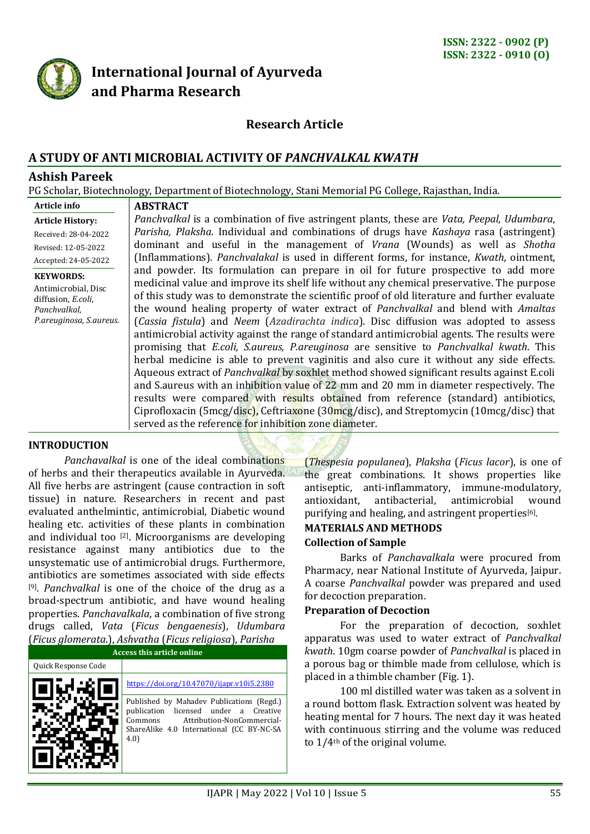

# **International Journal of Ayurveda and Pharma Research**

# **Research Article**

# **A STUDY OF ANTI MICROBIAL ACTIVITY OF** *PANCHVALKAL KWATH*

## **Ashish Pareek**

PG Scholar, Biotechnology, Department of Biotechnology, Stani Memorial PG College, Rajasthan, India.

| Article info                                                                                             | <b>ABSTRACT</b>                                                                                                                                                                                                                                                                                                                                                                                                                                                                                                                                                                                                                                                                                                                                                                                                                                                                                                                                                                                                                                                                                                                                                                                                       |  |  |  |  |  |
|----------------------------------------------------------------------------------------------------------|-----------------------------------------------------------------------------------------------------------------------------------------------------------------------------------------------------------------------------------------------------------------------------------------------------------------------------------------------------------------------------------------------------------------------------------------------------------------------------------------------------------------------------------------------------------------------------------------------------------------------------------------------------------------------------------------------------------------------------------------------------------------------------------------------------------------------------------------------------------------------------------------------------------------------------------------------------------------------------------------------------------------------------------------------------------------------------------------------------------------------------------------------------------------------------------------------------------------------|--|--|--|--|--|
| <b>Article History:</b>                                                                                  | Panchvalkal is a combination of five astringent plants, these are Vata, Peepal, Udumbara,                                                                                                                                                                                                                                                                                                                                                                                                                                                                                                                                                                                                                                                                                                                                                                                                                                                                                                                                                                                                                                                                                                                             |  |  |  |  |  |
| Received: 28-04-2022                                                                                     | Parisha, Plaksha. Individual and combinations of drugs have Kashaya rasa (astringent)                                                                                                                                                                                                                                                                                                                                                                                                                                                                                                                                                                                                                                                                                                                                                                                                                                                                                                                                                                                                                                                                                                                                 |  |  |  |  |  |
| Revised: 12-05-2022                                                                                      | dominant and useful in the management of <i>Vrana</i> (Wounds) as well as <i>Shotha</i>                                                                                                                                                                                                                                                                                                                                                                                                                                                                                                                                                                                                                                                                                                                                                                                                                                                                                                                                                                                                                                                                                                                               |  |  |  |  |  |
| Accepted: 24-05-2022                                                                                     | (Inflammations). Panchvalakal is used in different forms, for instance, Kwath, ointment,                                                                                                                                                                                                                                                                                                                                                                                                                                                                                                                                                                                                                                                                                                                                                                                                                                                                                                                                                                                                                                                                                                                              |  |  |  |  |  |
| <b>KEYWORDS:</b><br>Antimicrobial, Disc<br>diffusion, E.coli,<br>Panchvalkal,<br>P.areuginosa, S.aureus. | and powder. Its formulation can prepare in oil for future prospective to add more<br>medicinal value and improve its shelf life without any chemical preservative. The purpose<br>of this study was to demonstrate the scientific proof of old literature and further evaluate<br>the wound healing property of water extract of <i>Panchyalkal</i> and blend with <i>Amaltas</i><br>(Cassia fistula) and Neem (Azadirachta indica). Disc diffusion was adopted to assess<br>antimicrobial activity against the range of standard antimicrobial agents. The results were<br>promising that <i>E.coli, S.aureus, P.areuginosa</i> are sensitive to <i>Panchvalkal kwath</i> . This<br>herbal medicine is able to prevent vaginitis and also cure it without any side effects.<br>Aqueous extract of <i>Panchyalkal</i> by soxhlet method showed significant results against E.coli<br>and S.aureus with an inhibition value of 22 mm and 20 mm in diameter respectively. The<br>results were compared with results obtained from reference (standard) antibiotics,<br>Ciprofloxacin (5mcg/disc), Ceftriaxone (30mcg/disc), and Streptomycin (10mcg/disc) that<br>served as the reference for inhibition zone diameter. |  |  |  |  |  |
| <b>INTRODUCTION</b>                                                                                      |                                                                                                                                                                                                                                                                                                                                                                                                                                                                                                                                                                                                                                                                                                                                                                                                                                                                                                                                                                                                                                                                                                                                                                                                                       |  |  |  |  |  |

*Panchavalkal* is one of the ideal combinations of herbs and their therapeutics available in Ayurveda. All five herbs are astringent (cause contraction in soft tissue) in nature. Researchers in recent and past evaluated anthelmintic, antimicrobial, Diabetic wound healing etc. activities of these plants in combination and individual too [2] . Microorganisms are developing resistance against many antibiotics due to the unsystematic use of antimicrobial drugs. Furthermore, antibiotics are sometimes associated with side effects [9] . *Panchvalkal* is one of the choice of the drug as a broad-spectrum antibiotic, and have wound healing properties. *Panchavalkala*, a combination of five strong drugs called, *Vata* (*Ficus bengaenesis*), *Udumbara* (*Ficus glomerata*.), *Ashvatha* (*Ficus religiosa*), *Parisha*

| <u> Tricas gibilici aca. J. Hollvacha Tricas Feligiosa I, Farisha</u><br>Access this article online |                                                                                                                                                                                  |  |  |  |  |
|-----------------------------------------------------------------------------------------------------|----------------------------------------------------------------------------------------------------------------------------------------------------------------------------------|--|--|--|--|
| Quick Response Code                                                                                 |                                                                                                                                                                                  |  |  |  |  |
|                                                                                                     | https://doi.org/10.47070/ijapr.y10i5.2380                                                                                                                                        |  |  |  |  |
|                                                                                                     | Published by Mahadev Publications (Regd.)<br>publication licensed under a Creative<br>Attribution-NonCommercial-<br>Commons<br>ShareAlike 4.0 International (CC BY-NC-SA<br>4.0) |  |  |  |  |

(*Thespesia populanea*), *Plaksha* (*Ficus lacor*), is one of the great combinations. It shows properties like antiseptic, anti-inflammatory, immune-modulatory, antioxidant, antibacterial, antimicrobial wound purifying and healing, and astringent properties[6]. *.*

# **MATERIALS AND METHODS**

#### **Collection of Sample**

Barks of *Panchavalkala* were procured from Pharmacy, near National Institute of Ayurveda, Jaipur. A coarse *Panchvalkal* powder was prepared and used for decoction preparation.

#### **Preparation of Decoction**

For the preparation of decoction, soxhlet apparatus was used to water extract of *Panchvalkal kwath*. 10gm coarse powder of *Panchvalkal* is placed in a porous bag or thimble made from cellulose, which is placed in a thimble chamber (Fig. 1).

100 ml distilled water was taken as a solvent in a round bottom flask. Extraction solvent was heated by heating mental for 7 hours. The next day it was heated with continuous stirring and the volume was reduced to 1/4th of the original volume.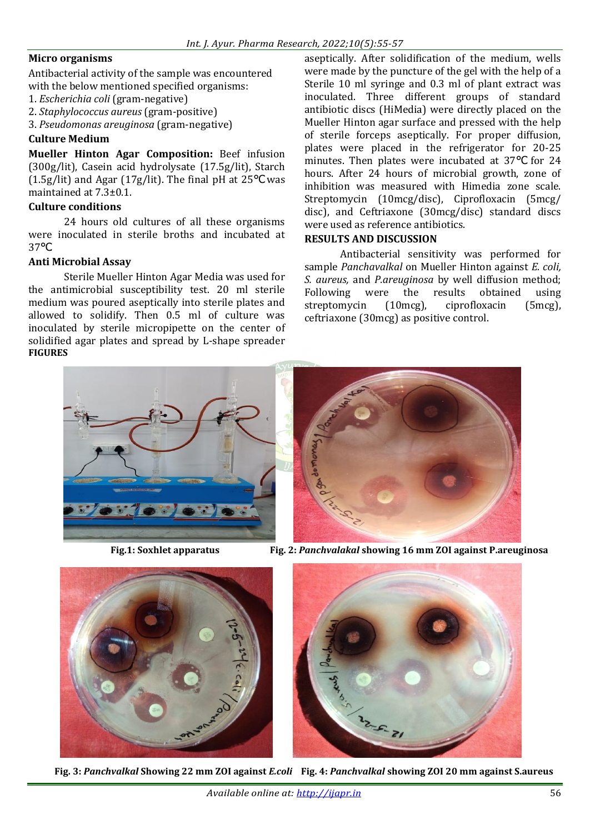#### **Micro organisms**

Antibacterial activity of the sample was encountered with the below mentioned specified organisms:

- 1. *Escherichia coli* (gram-negative)
- 2. *Staphylococcus aureus* (gram-positive)
- 3. *Pseudomonas areuginosa* (gram-negative)

#### **Culture Medium**

**Mueller Hinton Agar Composition:** Beef infusion (300g/lit), Casein acid hydrolysate (17.5g/lit), Starch (1.5g/lit) and Agar (17g/lit). The final pH at 25℃ was maintained at 7.3±0.1.

#### **Culture conditions**

24 hours old cultures of all these organisms were inoculated in sterile broths and incubated at 37℃.

### **Anti Microbial Assay**

Sterile Mueller Hinton Agar Media was used for the antimicrobial susceptibility test. 20 ml sterile medium was poured aseptically into sterile plates and allowed to solidify. Then 0.5 ml of culture was inoculated by sterile micropipette on the center of solidified agar plates and spread by L-shape spreader **FIGURES**

aseptically. After solidification of the medium, wells were made by the puncture of the gel with the help of a Sterile 10 ml syringe and 0.3 ml of plant extract was inoculated. Three different groups of standard antibiotic discs (HiMedia) were directly placed on the Mueller Hinton agar surface and pressed with the help of sterile forceps aseptically. For proper diffusion, plates were placed in the refrigerator for 20-25 minutes. Then plates were incubated at 37℃ for 24 hours. After 24 hours of microbial growth, zone of inhibition was measured with Himedia zone scale. Streptomycin (10mcg/disc), Ciprofloxacin (5mcg/ disc), and Ceftriaxone (30mcg/disc) standard discs were used as reference antibiotics.

#### **RESULTS AND DISCUSSION**

Antibacterial sensitivity was performed for sample *Panchavalkal* on Mueller Hinton against *E. coli, S. aureus,* and *P.areuginosa* by well diffusion method; Following were the results obtained using streptomycin (10mcg), ciprofloxacin (5mcg), ceftriaxone (30mcg) as positive control.



 **Fig.1: Soxhlet apparatus Fig. 2:** *Panchvalakal* **showing 16 mm ZOI against P.areuginosa**





 **Fig. 3:** *Panchvalkal* **Showing 22 mm ZOI against** *E.coli* **Fig. 4:** *Panchvalkal* **showing ZOI 20 mm against S.aureus**